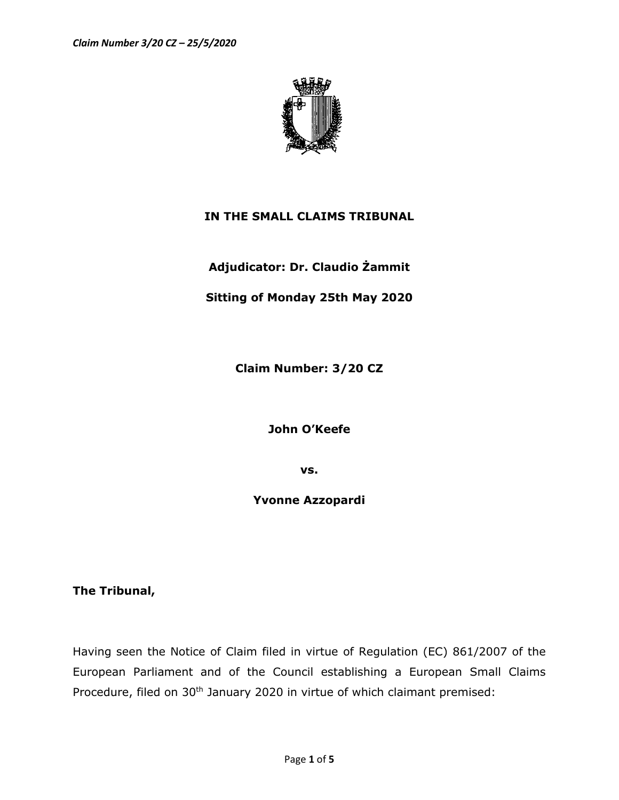

## **IN THE SMALL CLAIMS TRIBUNAL**

**Adjudicator: Dr. Claudio Żammit**

## **Sitting of Monday 25th May 2020**

**Claim Number: 3/20 CZ**

**John O'Keefe**

**vs.**

**Yvonne Azzopardi**

**The Tribunal,** 

Having seen the Notice of Claim filed in virtue of Regulation (EC) 861/2007 of the European Parliament and of the Council establishing a European Small Claims Procedure, filed on 30<sup>th</sup> January 2020 in virtue of which claimant premised: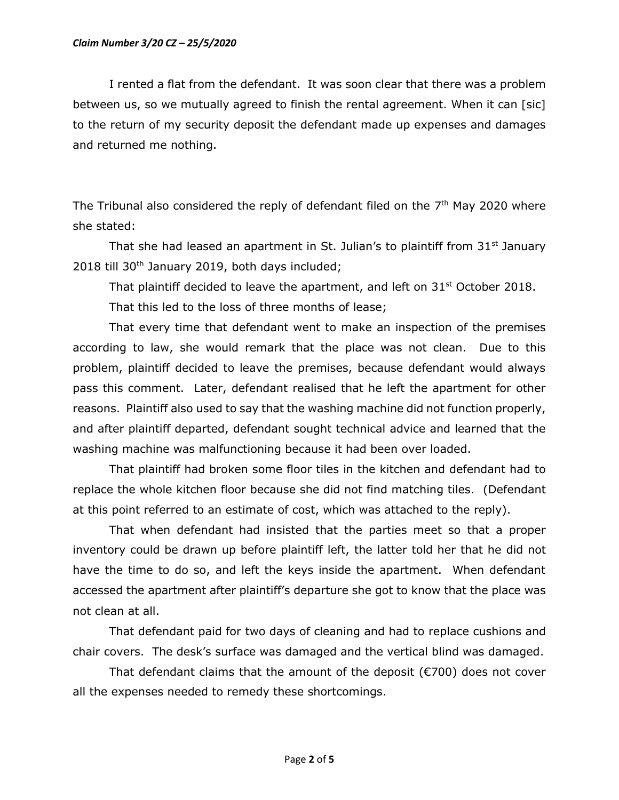## *Claim Number 3/20 CZ – 25/5/2020*

I rented a flat from the defendant. It was soon clear that there was a problem between us, so we mutually agreed to finish the rental agreement. When it can [sic] to the return of my security deposit the defendant made up expenses and damages and returned me nothing.

The Tribunal also considered the reply of defendant filed on the  $7<sup>th</sup>$  May 2020 where she stated:

That she had leased an apartment in St. Julian's to plaintiff from  $31<sup>st</sup>$  January 2018 till 30th January 2019, both days included;

That plaintiff decided to leave the apartment, and left on  $31<sup>st</sup>$  October 2018.

That this led to the loss of three months of lease;

That every time that defendant went to make an inspection of the premises according to law, she would remark that the place was not clean. Due to this problem, plaintiff decided to leave the premises, because defendant would always pass this comment. Later, defendant realised that he left the apartment for other reasons. Plaintiff also used to say that the washing machine did not function properly, and after plaintiff departed, defendant sought technical advice and learned that the washing machine was malfunctioning because it had been over loaded.

That plaintiff had broken some floor tiles in the kitchen and defendant had to replace the whole kitchen floor because she did not find matching tiles. (Defendant at this point referred to an estimate of cost, which was attached to the reply).

That when defendant had insisted that the parties meet so that a proper inventory could be drawn up before plaintiff left, the latter told her that he did not have the time to do so, and left the keys inside the apartment. When defendant accessed the apartment after plaintiff's departure she got to know that the place was not clean at all.

That defendant paid for two days of cleaning and had to replace cushions and chair covers. The desk's surface was damaged and the vertical blind was damaged.

That defendant claims that the amount of the deposit (€700) does not cover all the expenses needed to remedy these shortcomings.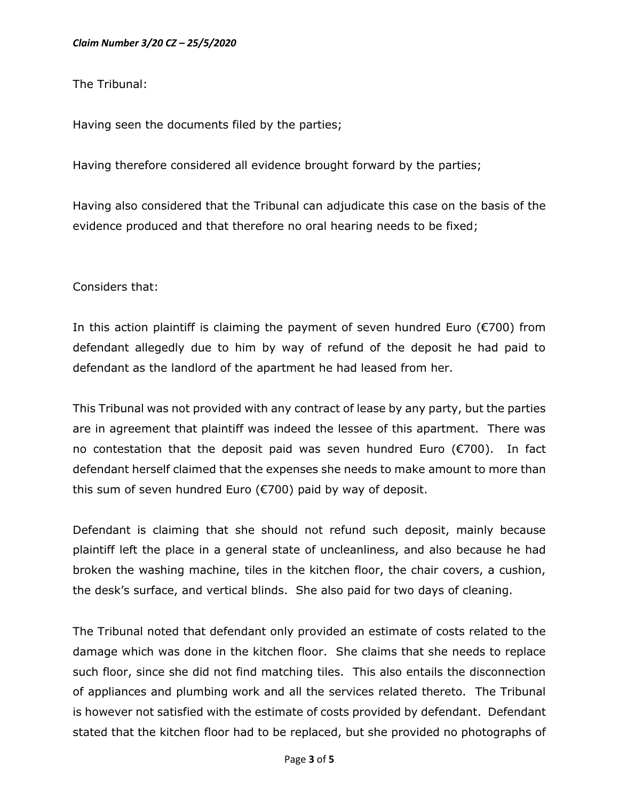The Tribunal:

Having seen the documents filed by the parties;

Having therefore considered all evidence brought forward by the parties;

Having also considered that the Tribunal can adjudicate this case on the basis of the evidence produced and that therefore no oral hearing needs to be fixed;

Considers that:

In this action plaintiff is claiming the payment of seven hundred Euro ( $\epsilon$ 700) from defendant allegedly due to him by way of refund of the deposit he had paid to defendant as the landlord of the apartment he had leased from her.

This Tribunal was not provided with any contract of lease by any party, but the parties are in agreement that plaintiff was indeed the lessee of this apartment. There was no contestation that the deposit paid was seven hundred Euro (€700). In fact defendant herself claimed that the expenses she needs to make amount to more than this sum of seven hundred Euro (€700) paid by way of deposit.

Defendant is claiming that she should not refund such deposit, mainly because plaintiff left the place in a general state of uncleanliness, and also because he had broken the washing machine, tiles in the kitchen floor, the chair covers, a cushion, the desk's surface, and vertical blinds. She also paid for two days of cleaning.

The Tribunal noted that defendant only provided an estimate of costs related to the damage which was done in the kitchen floor. She claims that she needs to replace such floor, since she did not find matching tiles. This also entails the disconnection of appliances and plumbing work and all the services related thereto. The Tribunal is however not satisfied with the estimate of costs provided by defendant. Defendant stated that the kitchen floor had to be replaced, but she provided no photographs of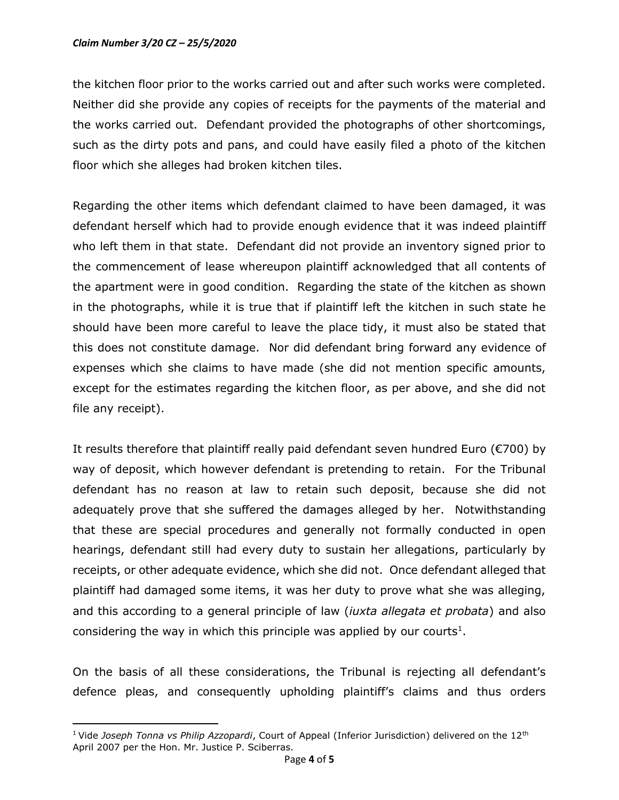## *Claim Number 3/20 CZ – 25/5/2020*

the kitchen floor prior to the works carried out and after such works were completed. Neither did she provide any copies of receipts for the payments of the material and the works carried out. Defendant provided the photographs of other shortcomings, such as the dirty pots and pans, and could have easily filed a photo of the kitchen floor which she alleges had broken kitchen tiles.

Regarding the other items which defendant claimed to have been damaged, it was defendant herself which had to provide enough evidence that it was indeed plaintiff who left them in that state. Defendant did not provide an inventory signed prior to the commencement of lease whereupon plaintiff acknowledged that all contents of the apartment were in good condition. Regarding the state of the kitchen as shown in the photographs, while it is true that if plaintiff left the kitchen in such state he should have been more careful to leave the place tidy, it must also be stated that this does not constitute damage. Nor did defendant bring forward any evidence of expenses which she claims to have made (she did not mention specific amounts, except for the estimates regarding the kitchen floor, as per above, and she did not file any receipt).

It results therefore that plaintiff really paid defendant seven hundred Euro ( $\epsilon$ 700) by way of deposit, which however defendant is pretending to retain. For the Tribunal defendant has no reason at law to retain such deposit, because she did not adequately prove that she suffered the damages alleged by her. Notwithstanding that these are special procedures and generally not formally conducted in open hearings, defendant still had every duty to sustain her allegations, particularly by receipts, or other adequate evidence, which she did not. Once defendant alleged that plaintiff had damaged some items, it was her duty to prove what she was alleging, and this according to a general principle of law (*iuxta allegata et probata*) and also considering the way in which this principle was applied by our courts<sup>1</sup>.

On the basis of all these considerations, the Tribunal is rejecting all defendant's defence pleas, and consequently upholding plaintiff's claims and thus orders

<sup>&</sup>lt;sup>1</sup> Vide *Joseph Tonna vs Philip Azzopardi*, Court of Appeal (Inferior Jurisdiction) delivered on the 12<sup>th</sup> April 2007 per the Hon. Mr. Justice P. Sciberras.